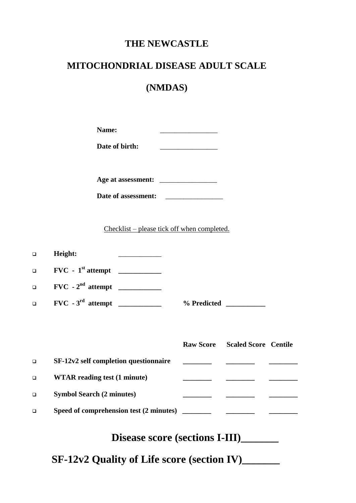## **THE NEWCASTLE**

# **MITOCHONDRIAL DISEASE ADULT SCALE**

# **(NMDAS)**

| Name: |  |
|-------|--|
|       |  |

**Age at assessment:** \_\_\_\_\_\_\_\_\_\_\_\_\_\_\_\_

| Date of assessment: |  |
|---------------------|--|
|                     |  |

Checklist – please tick off when completed.

| $\Box$ | Height:                               |                                       |  |
|--------|---------------------------------------|---------------------------------------|--|
| $\Box$ | $FVC - 1st attempt$                   |                                       |  |
| $\Box$ | $FVC - 2nd attempt$                   |                                       |  |
| $\Box$ | $FVC - 3rd$ attempt ____________      |                                       |  |
|        |                                       |                                       |  |
|        |                                       |                                       |  |
|        |                                       | <b>Raw Score</b> Scaled Score Centile |  |
| $\Box$ | SF-12v2 self completion questionnaire |                                       |  |
| $\Box$ | <b>WTAR</b> reading test (1 minute)   | the company of the company of the     |  |
| $\Box$ | <b>Symbol Search (2 minutes)</b>      |                                       |  |

# **Disease score (sections I-III)\_\_\_\_\_\_\_**

 **SF-12v2 Quality of Life score (section IV)\_\_\_\_\_\_\_**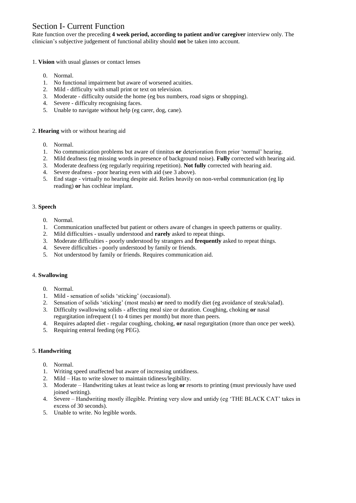## Section I- Current Function

Rate function over the preceding **4 week period, according to patient and/or caregiver** interview only. The clinician's subjective judgement of functional ability should **not** be taken into account.

#### 1. **Vision** with usual glasses or contact lenses

- 0. Normal.
- 1. No functional impairment but aware of worsened acuities.
- 2. Mild difficulty with small print or text on television.
- 3. Moderate difficulty outside the home (eg bus numbers, road signs or shopping).
- 4. Severe difficulty recognising faces.
- 5. Unable to navigate without help (eg carer, dog, cane).

#### 2. **Hearing** with or without hearing aid

- 0. Normal.
- 1. No communication problems but aware of tinnitus **or** deterioration from prior 'normal' hearing.
- 2. Mild deafness (eg missing words in presence of background noise). **Fully** corrected with hearing aid.
- 3. Moderate deafness (eg regularly requiring repetition). **Not fully** corrected with hearing aid.
- 4. Severe deafness poor hearing even with aid (see 3 above).
- 5. End stage virtually no hearing despite aid. Relies heavily on non-verbal communication (eg lip reading) **or** has cochlear implant.

#### 3. **Speech**

- 0. Normal.
- 1. Communication unaffected but patient or others aware of changes in speech patterns or quality.
- 2. Mild difficulties usually understood and **rarely** asked to repeat things.
- 3. Moderate difficulties poorly understood by strangers and **frequently** asked to repeat things.
- 4. Severe difficulties poorly understood by family or friends.
- 5. Not understood by family or friends. Requires communication aid.

#### 4. **Swallowing**

- 0. Normal.
- 1. Mild sensation of solids 'sticking' (occasional).
- 2. Sensation of solids 'sticking' (most meals) **or** need to modify diet (eg avoidance of steak/salad).
- 3. Difficulty swallowing solids affecting meal size or duration. Coughing, choking **or** nasal regurgitation infrequent (1 to 4 times per month) but more than peers.
- 4. Requires adapted diet regular coughing, choking, **or** nasal regurgitation (more than once per week).
- 5. Requiring enteral feeding (eg PEG).

#### 5. **Handwriting**

- 0. Normal.
- 1. Writing speed unaffected but aware of increasing untidiness.
- 2. Mild Has to write slower to maintain tidiness/legibility.
- 3. Moderate Handwriting takes at least twice as long **or** resorts to printing (must previously have used joined writing).
- 4. Severe Handwriting mostly illegible. Printing very slow and untidy (eg 'THE BLACK CAT' takes in excess of 30 seconds).
- 5. Unable to write. No legible words.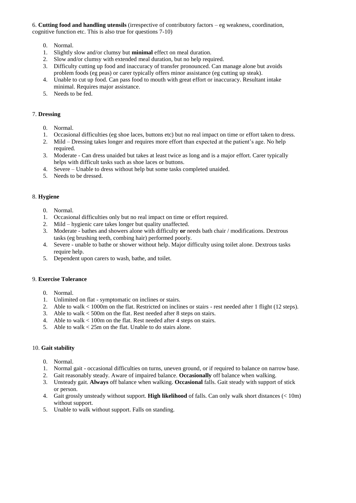6. **Cutting food and handling utensils** (irrespective of contributory factors – eg weakness, coordination, cognitive function etc. This is also true for questions 7-10)

- 0. Normal.
- 1. Slightly slow and/or clumsy but **minimal** effect on meal duration.
- 2. Slow and/or clumsy with extended meal duration, but no help required.
- 3. Difficulty cutting up food and inaccuracy of transfer pronounced. Can manage alone but avoids problem foods (eg peas) or carer typically offers minor assistance (eg cutting up steak).
- 4. Unable to cut up food. Can pass food to mouth with great effort or inaccuracy. Resultant intake minimal. Requires major assistance.
- 5. Needs to be fed.

#### 7. **Dressing**

- 0. Normal.
- 1. Occasional difficulties (eg shoe laces, buttons etc) but no real impact on time or effort taken to dress.
- 2. Mild Dressing takes longer and requires more effort than expected at the patient's age. No help required.
- 3. Moderate Can dress unaided but takes at least twice as long and is a major effort. Carer typically helps with difficult tasks such as shoe laces or buttons.
- 4. Severe Unable to dress without help but some tasks completed unaided.
- 5. Needs to be dressed.

#### 8. **Hygiene**

- 0. Normal.
- 1. Occasional difficulties only but no real impact on time or effort required.
- 2. Mild hygienic care takes longer but quality unaffected.
- 3. Moderate bathes and showers alone with difficulty **or** needs bath chair / modifications. Dextrous tasks (eg brushing teeth, combing hair) performed poorly.
- 4. Severe unable to bathe or shower without help. Major difficulty using toilet alone. Dextrous tasks require help.
- 5. Dependent upon carers to wash, bathe, and toilet.

#### 9. **Exercise Tolerance**

- 0. Normal.
- 1. Unlimited on flat symptomatic on inclines or stairs.
- 2. Able to walk < 1000m on the flat. Restricted on inclines or stairs rest needed after 1 flight (12 steps).
- 3. Able to walk < 500m on the flat. Rest needed after 8 steps on stairs.
- 4. Able to walk < 100m on the flat. Rest needed after 4 steps on stairs.
- 5. Able to walk < 25m on the flat. Unable to do stairs alone.

#### 10. **Gait stability**

- 0. Normal.
- 1. Normal gait occasional difficulties on turns, uneven ground, or if required to balance on narrow base.
- 2. Gait reasonably steady. Aware of impaired balance. **Occasionally** off balance when walking.
- 3. Unsteady gait. **Always** off balance when walking. **Occasional** falls. Gait steady with support of stick or person.
- 4. Gait grossly unsteady without support. **High likelihood** of falls. Can only walk short distances (< 10m) without support.
- 5. Unable to walk without support. Falls on standing.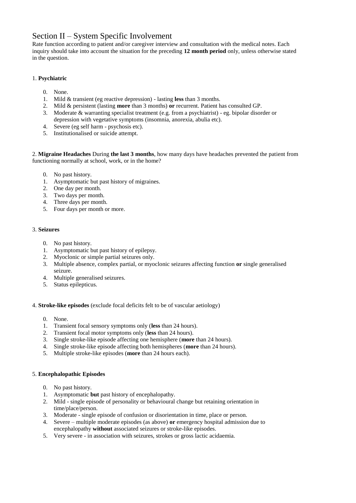## Section II – System Specific Involvement

Rate function according to patient and/or caregiver interview and consultation with the medical notes. Each inquiry should take into account the situation for the preceding **12 month period** only, unless otherwise stated in the question.

#### 1. **Psychiatric**

- 0. None.
- 1. Mild & transient (eg reactive depression) lasting **less** than 3 months.
- 2. Mild & persistent (lasting **more** than 3 months) **or** recurrent. Patient has consulted GP.
- 3. Moderate & warranting specialist treatment (e.g. from a psychiatrist) eg. bipolar disorder or depression with vegetative symptoms (insomnia, anorexia, abulia etc).
- 4. Severe (eg self harm psychosis etc).
- 5. Institutionalised or suicide attempt.

2. **Migraine Headaches** During **the last 3 months**, how many days have headaches prevented the patient from functioning normally at school, work, or in the home?

- 0. No past history.
- 1. Asymptomatic but past history of migraines.
- 2. One day per month.
- 3. Two days per month.
- 4. Three days per month.
- 5. Four days per month or more.

#### 3. **Seizures**

- 0. No past history.
- 1. Asymptomatic but past history of epilepsy.
- 2. Myoclonic or simple partial seizures only.
- 3. Multiple absence, complex partial, or myoclonic seizures affecting function **or** single generalised seizure.
- 4. Multiple generalised seizures.
- 5. Status epilepticus.

4. **Stroke-like episodes** (exclude focal deficits felt to be of vascular aetiology)

- 0. None.
- 1. Transient focal sensory symptoms only (**less** than 24 hours).
- 2. Transient focal motor symptoms only (**less** than 24 hours).
- 3. Single stroke-like episode affecting one hemisphere (**more** than 24 hours).
- 4. Single stroke-like episode affecting both hemispheres (**more** than 24 hours).
- 5. Multiple stroke-like episodes (**more** than 24 hours each).

#### 5. **Encephalopathic Episodes**

- 0. No past history.
- 1. Asymptomatic **but** past history of encephalopathy.
- 2. Mild single episode of personality or behavioural change but retaining orientation in time/place/person.
- 3. Moderate single episode of confusion or disorientation in time, place or person.
- 4. Severe multiple moderate episodes (as above) **or** emergency hospital admission due to encephalopathy **without** associated seizures or stroke-like episodes.
- 5. Very severe in association with seizures, strokes or gross lactic acidaemia.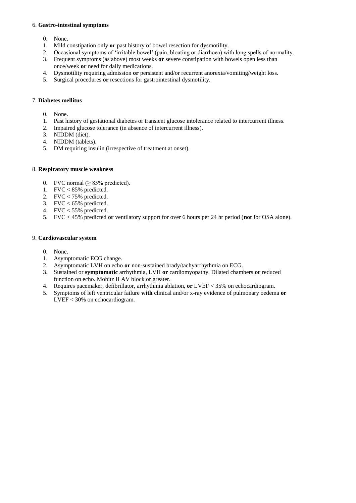#### 6. **Gastro-intestinal symptoms**

- 0. None.
- 1. Mild constipation only **or** past history of bowel resection for dysmotility.
- 2. Occasional symptoms of 'irritable bowel' (pain, bloating or diarrhoea) with long spells of normality.
- 3. Frequent symptoms (as above) most weeks **or** severe constipation with bowels open less than once/week **or** need for daily medications.
- 4. Dysmotility requiring admission **or** persistent and/or recurrent anorexia/vomiting/weight loss.
- 5. Surgical procedures **or** resections for gastrointestinal dysmotility.

#### 7. **Diabetes mellitus**

- 0. None.
- 1. Past history of gestational diabetes or transient glucose intolerance related to intercurrent illness.
- 2. Impaired glucose tolerance (in absence of intercurrent illness).
- 3. NIDDM (diet).
- 4. NIDDM (tablets).
- 5. DM requiring insulin (irrespective of treatment at onset).

#### 8. **Respiratory muscle weakness**

- 0. FVC normal ( $\geq$  85% predicted).
- 1. FVC < 85% predicted.
- 2. FVC < 75% predicted.
- 3.  $FVC < 65\%$  predicted.
- 4. FVC < 55% predicted.
- 5. FVC < 45% predicted **or** ventilatory support for over 6 hours per 24 hr period (**not** for OSA alone).

#### 9. **Cardiovascular system**

- 0. None.
- 1. Asymptomatic ECG change.
- 2. Asymptomatic LVH on echo **or** non-sustained brady/tachyarrhythmia on ECG.
- 3. Sustained or **symptomatic** arrhythmia, LVH **or** cardiomyopathy. Dilated chambers **or** reduced function on echo. Mobitz II AV block or greater.
- 4. Requires pacemaker, defibrillator, arrhythmia ablation, **or** LVEF < 35% on echocardiogram.
- 5. Symptoms of left ventricular failure **with** clinical and/or x-ray evidence of pulmonary oedema **or** LVEF < 30% on echocardiogram.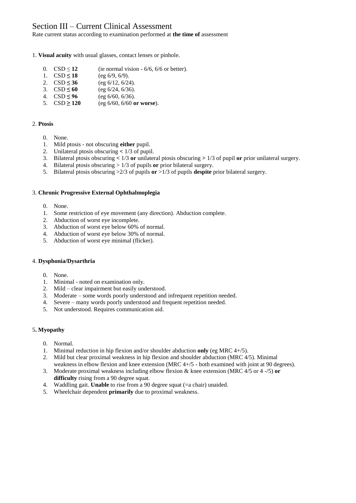### Section III – Current Clinical Assessment

Rate current status according to examination performed at **the time of** assessment

#### 1. **Visual acuity** with usual glasses, contact lenses or pinhole.

- 0.  $\text{CSD} \le 12$  (ie normal vision 6/6, 6/6 or better).
- 1.  $CSD \le 18$  (eg 6/9, 6/9).<br>2.  $CSD \le 36$  (eg 6/12, 6/24)
- 
- 3. CSD **≤ 60** (eg 6/24, 6/36).
- 2.  $\text{CSD} \le 36$  (eg 6/12, 6/24).<br>
3.  $\text{CSD} \le 60$  (eg 6/24, 6/36).<br>
4.  $\text{CSD} \le 96$  (eg 6/60, 6/36).<br>
5.  $\text{CSD} \ge 120$  (eg 6/60, 6/60 or) 4.  $CSD \le 96$  (eg 6/60, 6/36).<br>5.  $CSD \ge 120$  (eg 6/60, 6/60 or
- 5. CSD **≥ 120** (eg 6/60, 6/60 **or worse**).

#### 2. **Ptosis**

- 0. None.
- 1. Mild ptosis not obscuring **either** pupil.
- 2. Unilateral ptosis obscuring **<** 1/3 of pupil.
- 3. Bilateral ptosis obscuring **<** 1/3 **or** unilateral ptosis obscuring **>** 1/3 of pupil **or** prior unilateral surgery.
- 4. Bilateral ptosis obscuring > 1/3 of pupils **or** prior bilateral surgery.
- 5. Bilateral ptosis obscuring >2/3 of pupils **or** >1/3 of pupils **despite** prior bilateral surgery.

#### 3. **Chronic Progressive External Ophthalmoplegia**

- 0. None.
- 1. Some restriction of eye movement (any direction). Abduction complete.
- 2. Abduction of worst eye incomplete.
- 3. Abduction of worst eye below 60% of normal.
- 4. Abduction of worst eye below 30% of normal.
- 5. Abduction of worst eye minimal (flicker).

#### 4. **Dysphonia/Dysarthria**

- 0. None.
- 1. Minimal noted on examination only.
- 2. Mild clear impairment but easily understood.
- 3. Moderate some words poorly understood and infrequent repetition needed.
- 4. Severe many words poorly understood and frequent repetition needed.
- 5. Not understood. Requires communication aid.

#### 5**. Myopathy**

- 0. Normal.
- 1. Minimal reduction in hip flexion and/or shoulder abduction **only** (eg MRC 4+/5).
- 2. Mild but clear proximal weakness in hip flexion and shoulder abduction (MRC 4/5). Minimal weakness in elbow flexion and knee extension (MRC 4+/5 - both examined with joint at 90 degrees).
- 3. Moderate proximal weakness including elbow flexion & knee extension (MRC 4/5 or 4 -/5) **or** difficulty rising from a 90 degree squat.
- 4. Waddling gait. **Unable** to rise from a 90 degree squat (=a chair) unaided.
- 5. Wheelchair dependent **primarily** due to proximal weakness.